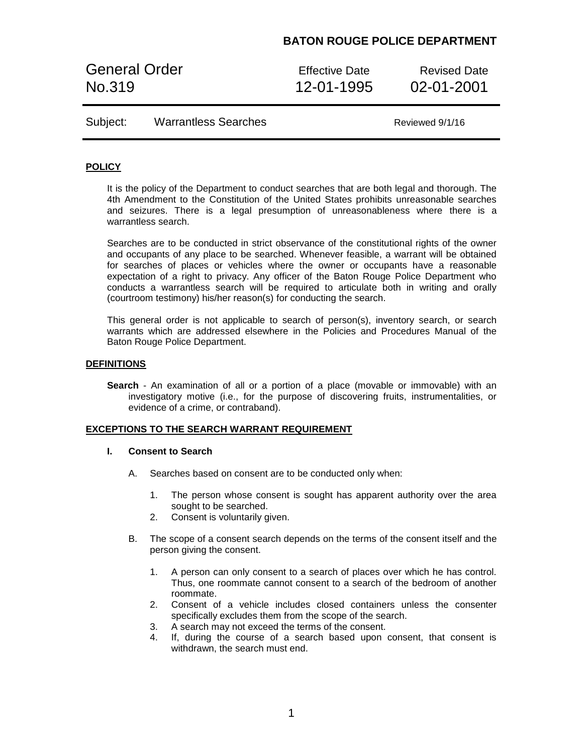General Order **Effective Date** Revised Date No.319 12-01-1995 02-01-2001

Reviewed 9/1/16

### **POLICY**

It is the policy of the Department to conduct searches that are both legal and thorough. The 4th Amendment to the Constitution of the United States prohibits unreasonable searches and seizures. There is a legal presumption of unreasonableness where there is a warrantless search.

Searches are to be conducted in strict observance of the constitutional rights of the owner and occupants of any place to be searched. Whenever feasible, a warrant will be obtained for searches of places or vehicles where the owner or occupants have a reasonable expectation of a right to privacy. Any officer of the Baton Rouge Police Department who conducts a warrantless search will be required to articulate both in writing and orally (courtroom testimony) his/her reason(s) for conducting the search.

This general order is not applicable to search of person(s), inventory search, or search warrants which are addressed elsewhere in the Policies and Procedures Manual of the Baton Rouge Police Department.

#### **DEFINITIONS**

**Search** - An examination of all or a portion of a place (movable or immovable) with an investigatory motive (i.e., for the purpose of discovering fruits, instrumentalities, or evidence of a crime, or contraband).

#### **EXCEPTIONS TO THE SEARCH WARRANT REQUIREMENT**

#### **I. Consent to Search**

- A. Searches based on consent are to be conducted only when:
	- 1. The person whose consent is sought has apparent authority over the area sought to be searched.
	- 2. Consent is voluntarily given.
- B. The scope of a consent search depends on the terms of the consent itself and the person giving the consent.
	- 1. A person can only consent to a search of places over which he has control. Thus, one roommate cannot consent to a search of the bedroom of another roommate.
	- 2. Consent of a vehicle includes closed containers unless the consenter specifically excludes them from the scope of the search.
	- 3. A search may not exceed the terms of the consent.
	- 4. If, during the course of a search based upon consent, that consent is withdrawn, the search must end.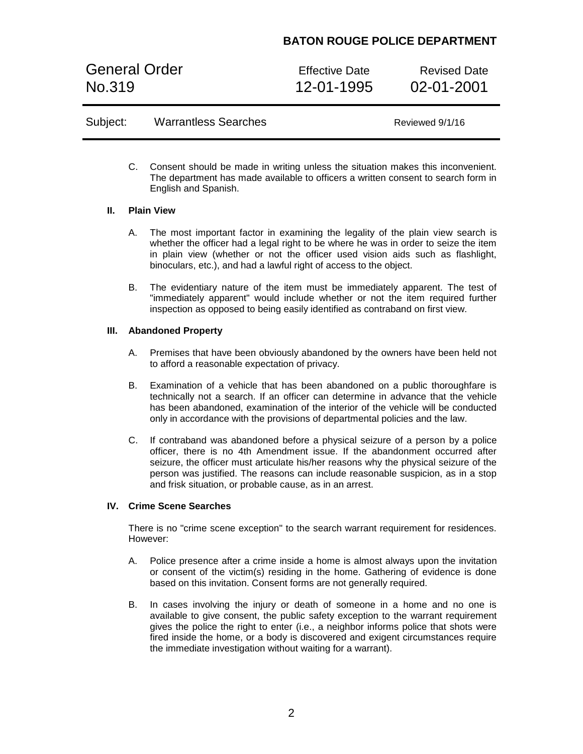General Order **Effective Date** Revised Date No.319 12-01-1995 02-01-2001

| Subject: | <b>Warrantless Searches</b> |
|----------|-----------------------------|
|----------|-----------------------------|

Reviewed 9/1/16

C. Consent should be made in writing unless the situation makes this inconvenient. The department has made available to officers a written consent to search form in English and Spanish.

#### **II. Plain View**

- A. The most important factor in examining the legality of the plain view search is whether the officer had a legal right to be where he was in order to seize the item in plain view (whether or not the officer used vision aids such as flashlight, binoculars, etc.), and had a lawful right of access to the object.
- B. The evidentiary nature of the item must be immediately apparent. The test of "immediately apparent" would include whether or not the item required further inspection as opposed to being easily identified as contraband on first view.

### **III. Abandoned Property**

- A. Premises that have been obviously abandoned by the owners have been held not to afford a reasonable expectation of privacy.
- B. Examination of a vehicle that has been abandoned on a public thoroughfare is technically not a search. If an officer can determine in advance that the vehicle has been abandoned, examination of the interior of the vehicle will be conducted only in accordance with the provisions of departmental policies and the law.
- C. If contraband was abandoned before a physical seizure of a person by a police officer, there is no 4th Amendment issue. If the abandonment occurred after seizure, the officer must articulate his/her reasons why the physical seizure of the person was justified. The reasons can include reasonable suspicion, as in a stop and frisk situation, or probable cause, as in an arrest.

#### **IV. Crime Scene Searches**

There is no "crime scene exception" to the search warrant requirement for residences. However:

- A. Police presence after a crime inside a home is almost always upon the invitation or consent of the victim(s) residing in the home. Gathering of evidence is done based on this invitation. Consent forms are not generally required.
- B. In cases involving the injury or death of someone in a home and no one is available to give consent, the public safety exception to the warrant requirement gives the police the right to enter (i.e., a neighbor informs police that shots were fired inside the home, or a body is discovered and exigent circumstances require the immediate investigation without waiting for a warrant).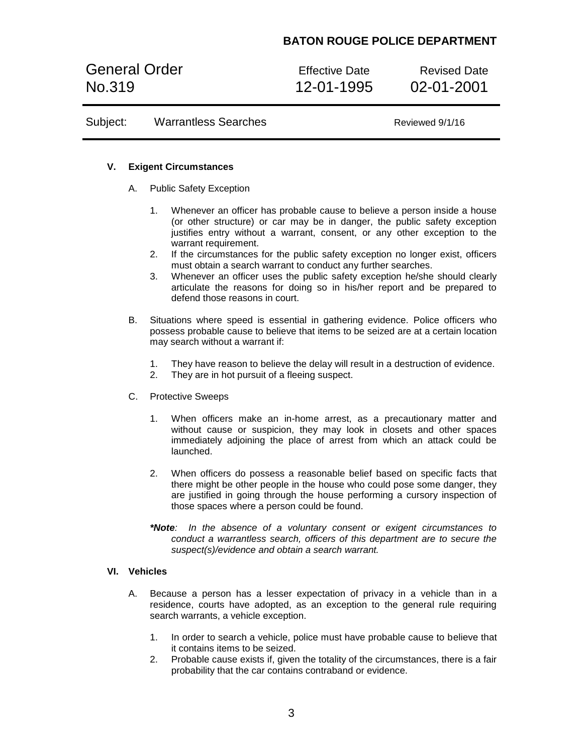General Order **Effective Date** Revised Date No.319 12-01-1995 02-01-2001

Subject: Warrantless Searches Manual Control Reviewed 9/1/16

#### **V. Exigent Circumstances**

- A. Public Safety Exception
	- 1. Whenever an officer has probable cause to believe a person inside a house (or other structure) or car may be in danger, the public safety exception justifies entry without a warrant, consent, or any other exception to the warrant requirement.
	- 2. If the circumstances for the public safety exception no longer exist, officers must obtain a search warrant to conduct any further searches.
	- 3. Whenever an officer uses the public safety exception he/she should clearly articulate the reasons for doing so in his/her report and be prepared to defend those reasons in court.
- B. Situations where speed is essential in gathering evidence. Police officers who possess probable cause to believe that items to be seized are at a certain location may search without a warrant if:
	- 1. They have reason to believe the delay will result in a destruction of evidence.
	- 2. They are in hot pursuit of a fleeing suspect.
- C. Protective Sweeps
	- 1. When officers make an in-home arrest, as a precautionary matter and without cause or suspicion, they may look in closets and other spaces immediately adjoining the place of arrest from which an attack could be launched.
	- 2. When officers do possess a reasonable belief based on specific facts that there might be other people in the house who could pose some danger, they are justified in going through the house performing a cursory inspection of those spaces where a person could be found.
	- *\*Note: In the absence of a voluntary consent or exigent circumstances to conduct a warrantless search, officers of this department are to secure the suspect(s)/evidence and obtain a search warrant.*

#### **VI. Vehicles**

- A. Because a person has a lesser expectation of privacy in a vehicle than in a residence, courts have adopted, as an exception to the general rule requiring search warrants, a vehicle exception.
	- 1. In order to search a vehicle, police must have probable cause to believe that it contains items to be seized.
	- 2. Probable cause exists if, given the totality of the circumstances, there is a fair probability that the car contains contraband or evidence.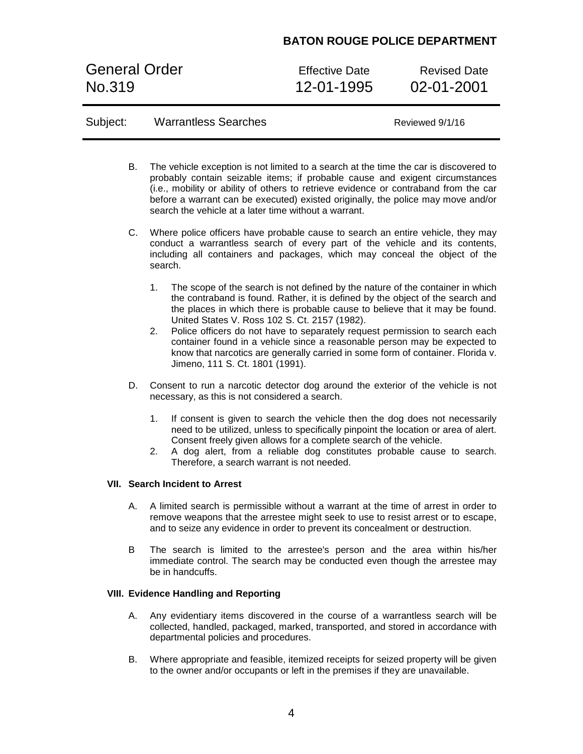General Order **Effective Date** Revised Date No.319 12-01-1995 02-01-2001

Subject: Warrantless Searches Manual Reviewed 9/1/16

|                                              | В.                                                                                                                                                                                                                                                              | The vehicle exception is not limited to a search at the time the car is discovered to<br>probably contain seizable items; if probable cause and exigent circumstances<br>(i.e., mobility or ability of others to retrieve evidence or contraband from the car<br>before a warrant can be executed) existed originally, the police may move and/or<br>search the vehicle at a later time without a warrant.                                                                                                                                                                                      |  |  |
|----------------------------------------------|-----------------------------------------------------------------------------------------------------------------------------------------------------------------------------------------------------------------------------------------------------------------|-------------------------------------------------------------------------------------------------------------------------------------------------------------------------------------------------------------------------------------------------------------------------------------------------------------------------------------------------------------------------------------------------------------------------------------------------------------------------------------------------------------------------------------------------------------------------------------------------|--|--|
|                                              | C.                                                                                                                                                                                                                                                              | Where police officers have probable cause to search an entire vehicle, they may<br>conduct a warrantless search of every part of the vehicle and its contents,<br>including all containers and packages, which may conceal the object of the<br>search.                                                                                                                                                                                                                                                                                                                                         |  |  |
|                                              |                                                                                                                                                                                                                                                                 | 1.<br>The scope of the search is not defined by the nature of the container in which<br>the contraband is found. Rather, it is defined by the object of the search and<br>the places in which there is probable cause to believe that it may be found.<br>United States V. Ross 102 S. Ct. 2157 (1982).<br>Police officers do not have to separately request permission to search each<br>2.<br>container found in a vehicle since a reasonable person may be expected to<br>know that narcotics are generally carried in some form of container. Florida v.<br>Jimeno, 111 S. Ct. 1801 (1991). |  |  |
|                                              | D.                                                                                                                                                                                                                                                              | Consent to run a narcotic detector dog around the exterior of the vehicle is not<br>necessary, as this is not considered a search.                                                                                                                                                                                                                                                                                                                                                                                                                                                              |  |  |
|                                              |                                                                                                                                                                                                                                                                 | 1.<br>If consent is given to search the vehicle then the dog does not necessarily<br>need to be utilized, unless to specifically pinpoint the location or area of alert.<br>Consent freely given allows for a complete search of the vehicle.<br>A dog alert, from a reliable dog constitutes probable cause to search.<br>2.<br>Therefore, a search warrant is not needed.                                                                                                                                                                                                                     |  |  |
|                                              |                                                                                                                                                                                                                                                                 | <b>VII. Search Incident to Arrest</b>                                                                                                                                                                                                                                                                                                                                                                                                                                                                                                                                                           |  |  |
|                                              | А.<br>A limited search is permissible without a warrant at the time of arrest in order to<br>remove weapons that the arrestee might seek to use to resist arrest or to escape,<br>and to seize any evidence in order to prevent its concealment or destruction. |                                                                                                                                                                                                                                                                                                                                                                                                                                                                                                                                                                                                 |  |  |
|                                              | B                                                                                                                                                                                                                                                               | The search is limited to the arrestee's person and the area within his/her<br>immediate control. The search may be conducted even though the arrestee may<br>be in handcuffs.                                                                                                                                                                                                                                                                                                                                                                                                                   |  |  |
| <b>VIII. Evidence Handling and Reporting</b> |                                                                                                                                                                                                                                                                 |                                                                                                                                                                                                                                                                                                                                                                                                                                                                                                                                                                                                 |  |  |
|                                              | А.                                                                                                                                                                                                                                                              | Any evidentiary items discovered in the course of a warrantless search will be<br>collected, handled, packaged, marked, transported, and stored in accordance with<br>departmental policies and procedures.                                                                                                                                                                                                                                                                                                                                                                                     |  |  |

B. Where appropriate and feasible, itemized receipts for seized property will be given to the owner and/or occupants or left in the premises if they are unavailable.